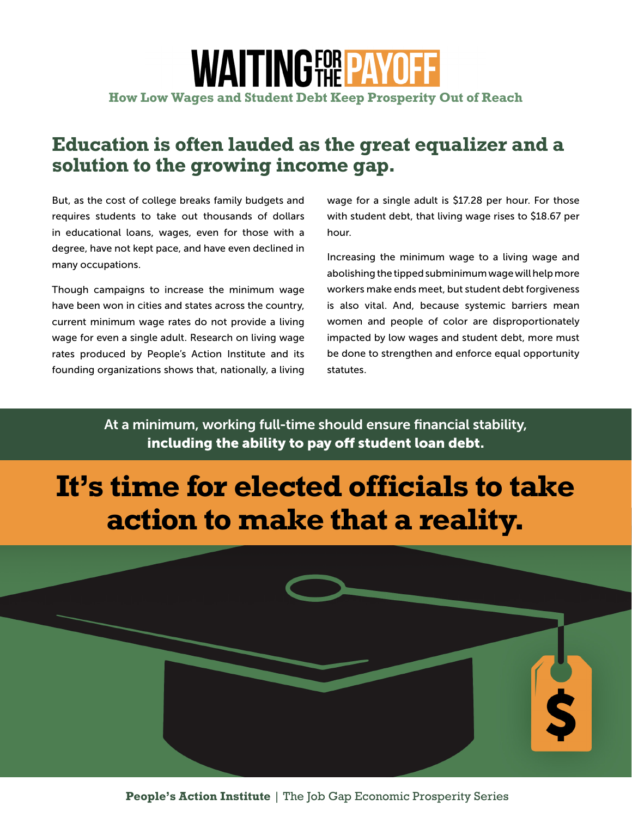### **WAITINGFOR PAYOFF How Low Wages and Student Debt Keep Prosperity Out of Reach**

#### **Education is often lauded as the great equalizer and a solution to the growing income gap.**

But, as the cost of college breaks family budgets and requires students to take out thousands of dollars in educational loans, wages, even for those with a degree, have not kept pace, and have even declined in many occupations.

Though campaigns to increase the minimum wage have been won in cities and states across the country, current minimum wage rates do not provide a living wage for even a single adult. Research on living wage rates produced by People's Action Institute and its founding organizations shows that, nationally, a living wage for a single adult is \$17.28 per hour. For those with student debt, that living wage rises to \$18.67 per hour.

Increasing the minimum wage to a living wage and abolishing the tipped subminimum wage will help more workers make ends meet, but student debt forgiveness is also vital. And, because systemic barriers mean women and people of color are disproportionately impacted by low wages and student debt, more must be done to strengthen and enforce equal opportunity statutes.

At a minimum, working full-time should ensure financial stability, including the ability to pay off student loan debt.

# **It's time for elected officials to take action to make that a reality.**

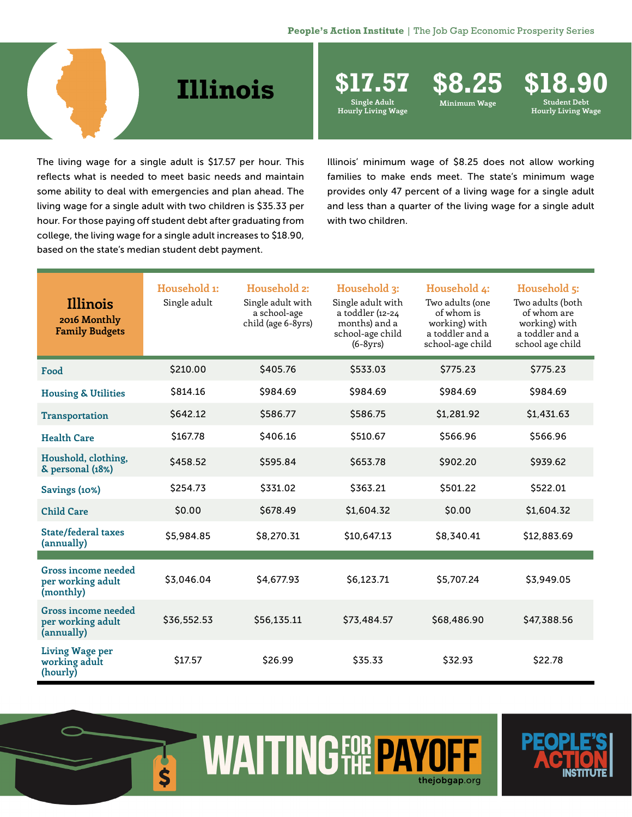## **Illinois**

**Single Adult** 

**Hourly Living Wage**

**\$17.57 \$8.25 \$18.90 Minimum Wage Student Debt Hourly Living Wage**

The living wage for a single adult is \$17.57 per hour. This reflects what is needed to meet basic needs and maintain some ability to deal with emergencies and plan ahead. The living wage for a single adult with two children is \$35.33 per hour. For those paying off student debt after graduating from college, the living wage for a single adult increases to \$18.90, based on the state's median student debt payment.

Illinois' minimum wage of \$8.25 does not allow working families to make ends meet. The state's minimum wage provides only 47 percent of a living wage for a single adult and less than a quarter of the living wage for a single adult with two children.

| Illinois<br>2016 Monthly<br><b>Family Budgets</b>      | Household 1:<br>Single adult | Household 2:<br>Single adult with<br>a school-age<br>child (age 6-8yrs) | Household 3:<br>Single adult with<br>a toddler (12-24<br>months) and a<br>school-age child<br>$(6-8yrs)$ | Household 4:<br>Two adults (one<br>of whom is<br>working) with<br>a toddler and a<br>school-age child | Household 5:<br>Two adults (both<br>of whom are<br>working) with<br>a toddler and a<br>school age child |
|--------------------------------------------------------|------------------------------|-------------------------------------------------------------------------|----------------------------------------------------------------------------------------------------------|-------------------------------------------------------------------------------------------------------|---------------------------------------------------------------------------------------------------------|
| Food                                                   | \$210.00                     | \$405.76                                                                | \$533.03                                                                                                 | \$775.23                                                                                              | \$775.23                                                                                                |
| <b>Housing &amp; Utilities</b>                         | \$814.16                     | \$984.69                                                                | \$984.69                                                                                                 | \$984.69                                                                                              | \$984.69                                                                                                |
| <b>Transportation</b>                                  | \$642.12                     | \$586.77                                                                | \$586.75                                                                                                 | \$1,281.92                                                                                            | \$1,431.63                                                                                              |
| <b>Health Care</b>                                     | \$167.78                     | \$406.16                                                                | \$510.67                                                                                                 | \$566.96                                                                                              | \$566.96                                                                                                |
| Houshold, clothing,<br>& personal (18%)                | \$458.52                     | \$595.84                                                                | \$653.78                                                                                                 | \$902.20                                                                                              | \$939.62                                                                                                |
| Savings (10%)                                          | \$254.73                     | \$331.02                                                                | \$363.21                                                                                                 | \$501.22                                                                                              | \$522.01                                                                                                |
| <b>Child Care</b>                                      | \$0.00                       | \$678.49                                                                | \$1,604.32                                                                                               | \$0.00                                                                                                | \$1,604.32                                                                                              |
| State/federal taxes<br>(annually)                      | \$5,984.85                   | \$8,270.31                                                              | \$10,647.13                                                                                              | \$8,340.41                                                                                            | \$12,883.69                                                                                             |
| Gross income needed                                    |                              |                                                                         |                                                                                                          |                                                                                                       |                                                                                                         |
| per working adult<br>(monthly)                         | \$3,046.04                   | \$4,677.93                                                              | \$6,123.71                                                                                               | \$5,707.24                                                                                            | \$3,949.05                                                                                              |
| Gross income needed<br>per working adult<br>(annually) | \$36,552.53                  | \$56,135.11                                                             | \$73,484.57                                                                                              | \$68,486.90                                                                                           | \$47,388.56                                                                                             |
| <b>Living Wage per</b><br>working adult<br>(hourly)    | \$17.57                      | \$26.99                                                                 | \$35.33                                                                                                  | \$32.93                                                                                               | \$22.78                                                                                                 |